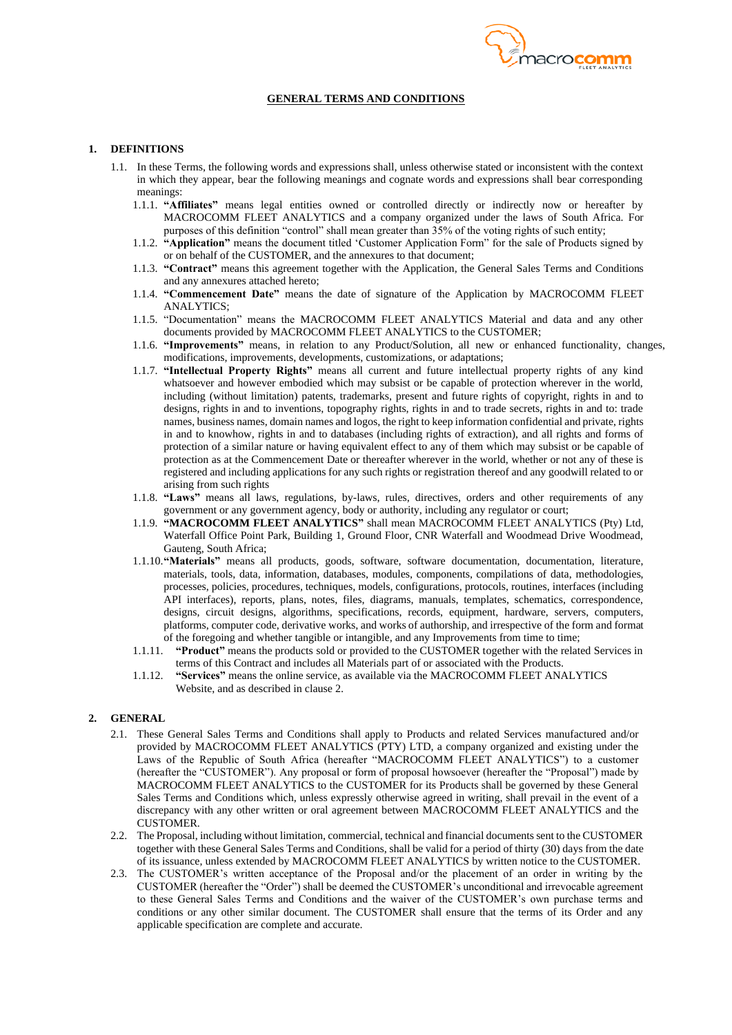

### **GENERAL TERMS AND CONDITIONS**

#### **1. DEFINITIONS**

- 1.1. In these Terms, the following words and expressions shall, unless otherwise stated or inconsistent with the context in which they appear, bear the following meanings and cognate words and expressions shall bear corresponding meanings:
	- 1.1.1. **"Affiliates"** means legal entities owned or controlled directly or indirectly now or hereafter by MACROCOMM FLEET ANALYTICS and a company organized under the laws of South Africa. For purposes of this definition "control" shall mean greater than 35% of the voting rights of such entity;
	- 1.1.2. **"Application"** means the document titled 'Customer Application Form" for the sale of Products signed by or on behalf of the CUSTOMER, and the annexures to that document;
	- 1.1.3. **"Contract"** means this agreement together with the Application, the General Sales Terms and Conditions and any annexures attached hereto;
	- 1.1.4. **"Commencement Date"** means the date of signature of the Application by MACROCOMM FLEET ANALYTICS;
	- 1.1.5. "Documentation" means the MACROCOMM FLEET ANALYTICS Material and data and any other documents provided by MACROCOMM FLEET ANALYTICS to the CUSTOMER;
	- 1.1.6. **"Improvements"** means, in relation to any Product/Solution, all new or enhanced functionality, changes, modifications, improvements, developments, customizations, or adaptations;
	- 1.1.7. **"Intellectual Property Rights"** means all current and future intellectual property rights of any kind whatsoever and however embodied which may subsist or be capable of protection wherever in the world, including (without limitation) patents, trademarks, present and future rights of copyright, rights in and to designs, rights in and to inventions, topography rights, rights in and to trade secrets, rights in and to: trade names, business names, domain names and logos, the right to keep information confidential and private, rights in and to knowhow, rights in and to databases (including rights of extraction), and all rights and forms of protection of a similar nature or having equivalent effect to any of them which may subsist or be capable of protection as at the Commencement Date or thereafter wherever in the world, whether or not any of these is registered and including applications for any such rights or registration thereof and any goodwill related to or arising from such rights
	- 1.1.8. **"Laws"** means all laws, regulations, by-laws, rules, directives, orders and other requirements of any government or any government agency, body or authority, including any regulator or court;
	- 1.1.9. **"MACROCOMM FLEET ANALYTICS"** shall mean MACROCOMM FLEET ANALYTICS (Pty) Ltd, Waterfall Office Point Park, Building 1, Ground Floor, CNR Waterfall and Woodmead Drive Woodmead, Gauteng, South Africa;
	- 1.1.10.**"Materials"** means all products, goods, software, software documentation, documentation, literature, materials, tools, data, information, databases, modules, components, compilations of data, methodologies, processes, policies, procedures, techniques, models, configurations, protocols, routines, interfaces (including API interfaces), reports, plans, notes, files, diagrams, manuals, templates, schematics, correspondence, designs, circuit designs, algorithms, specifications, records, equipment, hardware, servers, computers, platforms, computer code, derivative works, and works of authorship, and irrespective of the form and format of the foregoing and whether tangible or intangible, and any Improvements from time to time;
	- 1.1.11. **"Product"** means the products sold or provided to the CUSTOMER together with the related Services in terms of this Contract and includes all Materials part of or associated with the Products.
	- 1.1.12. **"Services"** means the online service, as available via the MACROCOMM FLEET ANALYTICS Website, and as described in clause 2.

#### **2. GENERAL**

- 2.1. These General Sales Terms and Conditions shall apply to Products and related Services manufactured and/or provided by MACROCOMM FLEET ANALYTICS (PTY) LTD, a company organized and existing under the Laws of the Republic of South Africa (hereafter "MACROCOMM FLEET ANALYTICS") to a customer (hereafter the "CUSTOMER"). Any proposal or form of proposal howsoever (hereafter the "Proposal") made by MACROCOMM FLEET ANALYTICS to the CUSTOMER for its Products shall be governed by these General Sales Terms and Conditions which, unless expressly otherwise agreed in writing, shall prevail in the event of a discrepancy with any other written or oral agreement between MACROCOMM FLEET ANALYTICS and the CUSTOMER.
- 2.2. The Proposal, including without limitation, commercial, technical and financial documents sent to the CUSTOMER together with these General Sales Terms and Conditions, shall be valid for a period of thirty (30) days from the date of its issuance, unless extended by MACROCOMM FLEET ANALYTICS by written notice to the CUSTOMER.
- 2.3. The CUSTOMER's written acceptance of the Proposal and/or the placement of an order in writing by the CUSTOMER (hereafter the "Order") shall be deemed the CUSTOMER's unconditional and irrevocable agreement to these General Sales Terms and Conditions and the waiver of the CUSTOMER's own purchase terms and conditions or any other similar document. The CUSTOMER shall ensure that the terms of its Order and any applicable specification are complete and accurate.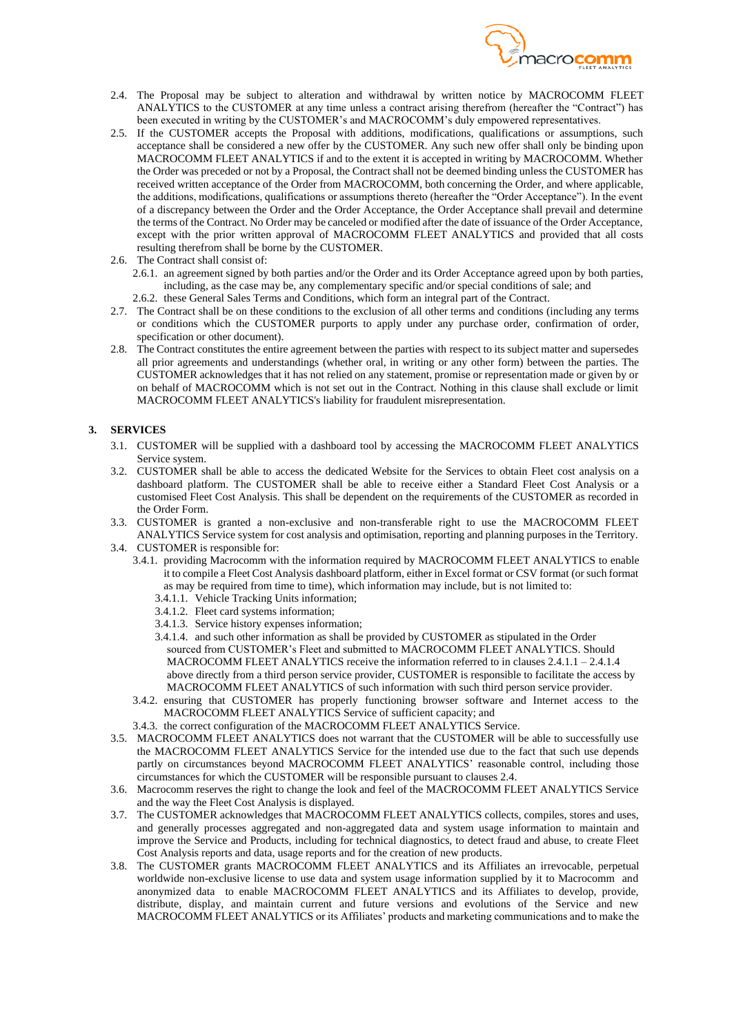

- 2.4. The Proposal may be subject to alteration and withdrawal by written notice by MACROCOMM FLEET ANALYTICS to the CUSTOMER at any time unless a contract arising therefrom (hereafter the "Contract") has been executed in writing by the CUSTOMER's and MACROCOMM's duly empowered representatives.
- 2.5. If the CUSTOMER accepts the Proposal with additions, modifications, qualifications or assumptions, such acceptance shall be considered a new offer by the CUSTOMER. Any such new offer shall only be binding upon MACROCOMM FLEET ANALYTICS if and to the extent it is accepted in writing by MACROCOMM. Whether the Order was preceded or not by a Proposal, the Contract shall not be deemed binding unless the CUSTOMER has received written acceptance of the Order from MACROCOMM, both concerning the Order, and where applicable, the additions, modifications, qualifications or assumptions thereto (hereafter the "Order Acceptance"). In the event of a discrepancy between the Order and the Order Acceptance, the Order Acceptance shall prevail and determine the terms of the Contract. No Order may be canceled or modified after the date of issuance of the Order Acceptance, except with the prior written approval of MACROCOMM FLEET ANALYTICS and provided that all costs resulting therefrom shall be borne by the CUSTOMER.
- 2.6. The Contract shall consist of:
	- 2.6.1. an agreement signed by both parties and/or the Order and its Order Acceptance agreed upon by both parties, including, as the case may be, any complementary specific and/or special conditions of sale; and
	- 2.6.2. these General Sales Terms and Conditions, which form an integral part of the Contract.
- 2.7. The Contract shall be on these conditions to the exclusion of all other terms and conditions (including any terms or conditions which the CUSTOMER purports to apply under any purchase order, confirmation of order, specification or other document).
- 2.8. The Contract constitutes the entire agreement between the parties with respect to its subject matter and supersedes all prior agreements and understandings (whether oral, in writing or any other form) between the parties. The CUSTOMER acknowledges that it has not relied on any statement, promise or representation made or given by or on behalf of MACROCOMM which is not set out in the Contract. Nothing in this clause shall exclude or limit MACROCOMM FLEET ANALYTICS's liability for fraudulent misrepresentation.

# **3. SERVICES**

- 3.1. CUSTOMER will be supplied with a dashboard tool by accessing the MACROCOMM FLEET ANALYTICS Service system.
- 3.2. CUSTOMER shall be able to access the dedicated Website for the Services to obtain Fleet cost analysis on a dashboard platform. The CUSTOMER shall be able to receive either a Standard Fleet Cost Analysis or a customised Fleet Cost Analysis. This shall be dependent on the requirements of the CUSTOMER as recorded in the Order Form.
- 3.3. CUSTOMER is granted a non-exclusive and non-transferable right to use the MACROCOMM FLEET ANALYTICS Service system for cost analysis and optimisation, reporting and planning purposes in the Territory.
- 3.4. CUSTOMER is responsible for:
	- 3.4.1. providing Macrocomm with the information required by MACROCOMM FLEET ANALYTICS to enable it to compile a Fleet Cost Analysis dashboard platform, either in Excel format or CSV format (or such format as may be required from time to time), which information may include, but is not limited to:
		- 3.4.1.1. Vehicle Tracking Units information;
		- 3.4.1.2. Fleet card systems information;
		- 3.4.1.3. Service history expenses information;
		- 3.4.1.4. and such other information as shall be provided by CUSTOMER as stipulated in the Order sourced from CUSTOMER's Fleet and submitted to MACROCOMM FLEET ANALYTICS. Should MACROCOMM FLEET ANALYTICS receive the information referred to in clauses 2.4.1.1 – 2.4.1.4 above directly from a third person service provider, CUSTOMER is responsible to facilitate the access by MACROCOMM FLEET ANALYTICS of such information with such third person service provider.
	- 3.4.2. ensuring that CUSTOMER has properly functioning browser software and Internet access to the MACROCOMM FLEET ANALYTICS Service of sufficient capacity; and
	- 3.4.3. the correct configuration of the MACROCOMM FLEET ANALYTICS Service.
- 3.5. MACROCOMM FLEET ANALYTICS does not warrant that the CUSTOMER will be able to successfully use the MACROCOMM FLEET ANALYTICS Service for the intended use due to the fact that such use depends partly on circumstances beyond MACROCOMM FLEET ANALYTICS' reasonable control, including those circumstances for which the CUSTOMER will be responsible pursuant to clauses 2.4.
- 3.6. Macrocomm reserves the right to change the look and feel of the MACROCOMM FLEET ANALYTICS Service and the way the Fleet Cost Analysis is displayed.
- 3.7. The CUSTOMER acknowledges that MACROCOMM FLEET ANALYTICS collects, compiles, stores and uses, and generally processes aggregated and non-aggregated data and system usage information to maintain and improve the Service and Products, including for technical diagnostics, to detect fraud and abuse, to create Fleet Cost Analysis reports and data, usage reports and for the creation of new products.
- 3.8. The CUSTOMER grants MACROCOMM FLEET ANALYTICS and its Affiliates an irrevocable, perpetual worldwide non-exclusive license to use data and system usage information supplied by it to Macrocomm and anonymized data to enable MACROCOMM FLEET ANALYTICS and its Affiliates to develop, provide, distribute, display, and maintain current and future versions and evolutions of the Service and new MACROCOMM FLEET ANALYTICS or its Affiliates' products and marketing communications and to make the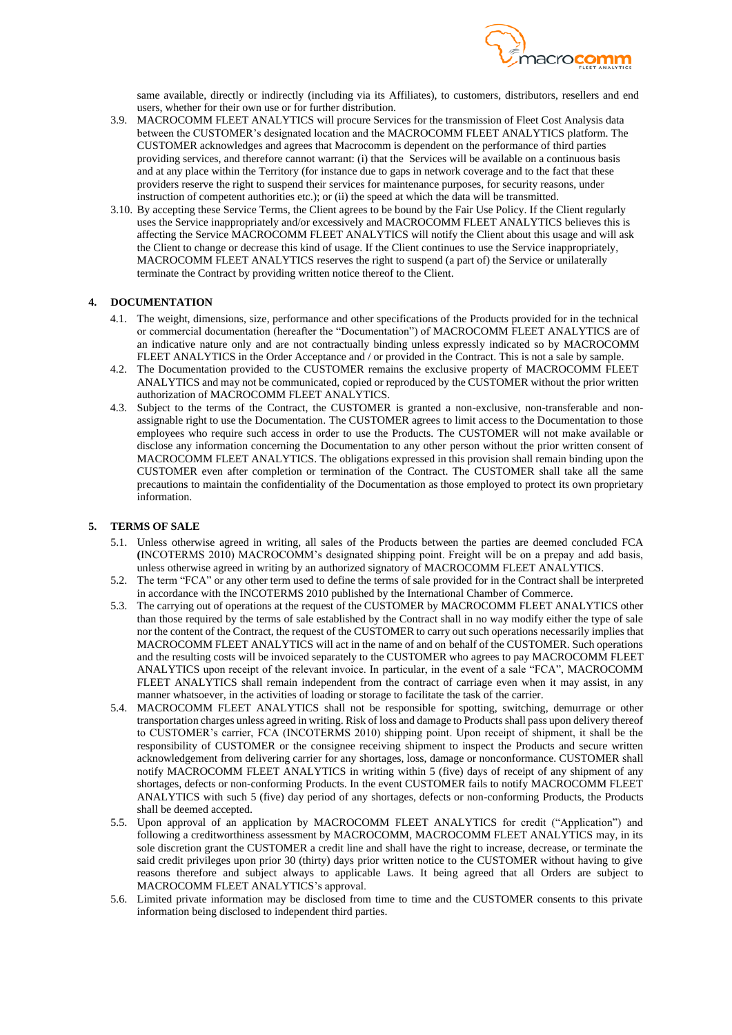

same available, directly or indirectly (including via its Affiliates), to customers, distributors, resellers and end users, whether for their own use or for further distribution.

- 3.9. MACROCOMM FLEET ANALYTICS will procure Services for the transmission of Fleet Cost Analysis data between the CUSTOMER's designated location and the MACROCOMM FLEET ANALYTICS platform. The CUSTOMER acknowledges and agrees that Macrocomm is dependent on the performance of third parties providing services, and therefore cannot warrant: (i) that the Services will be available on a continuous basis and at any place within the Territory (for instance due to gaps in network coverage and to the fact that these providers reserve the right to suspend their services for maintenance purposes, for security reasons, under instruction of competent authorities etc.); or (ii) the speed at which the data will be transmitted.
- 3.10. By accepting these Service Terms, the Client agrees to be bound by the Fair Use Policy. If the Client regularly uses the Service inappropriately and/or excessively and MACROCOMM FLEET ANALYTICS believes this is affecting the Service MACROCOMM FLEET ANALYTICS will notify the Client about this usage and will ask the Client to change or decrease this kind of usage. If the Client continues to use the Service inappropriately, MACROCOMM FLEET ANALYTICS reserves the right to suspend (a part of) the Service or unilaterally terminate the Contract by providing written notice thereof to the Client.

## **4. DOCUMENTATION**

- 4.1. The weight, dimensions, size, performance and other specifications of the Products provided for in the technical or commercial documentation (hereafter the "Documentation") of MACROCOMM FLEET ANALYTICS are of an indicative nature only and are not contractually binding unless expressly indicated so by MACROCOMM FLEET ANALYTICS in the Order Acceptance and / or provided in the Contract. This is not a sale by sample.
- 4.2. The Documentation provided to the CUSTOMER remains the exclusive property of MACROCOMM FLEET ANALYTICS and may not be communicated, copied or reproduced by the CUSTOMER without the prior written authorization of MACROCOMM FLEET ANALYTICS.
- 4.3. Subject to the terms of the Contract, the CUSTOMER is granted a non-exclusive, non-transferable and nonassignable right to use the Documentation. The CUSTOMER agrees to limit access to the Documentation to those employees who require such access in order to use the Products. The CUSTOMER will not make available or disclose any information concerning the Documentation to any other person without the prior written consent of MACROCOMM FLEET ANALYTICS. The obligations expressed in this provision shall remain binding upon the CUSTOMER even after completion or termination of the Contract. The CUSTOMER shall take all the same precautions to maintain the confidentiality of the Documentation as those employed to protect its own proprietary information.

## **5. TERMS OF SALE**

- 5.1. Unless otherwise agreed in writing, all sales of the Products between the parties are deemed concluded FCA **(**INCOTERMS 2010) MACROCOMM's designated shipping point. Freight will be on a prepay and add basis, unless otherwise agreed in writing by an authorized signatory of MACROCOMM FLEET ANALYTICS.
- 5.2. The term "FCA" or any other term used to define the terms of sale provided for in the Contract shall be interpreted in accordance with the INCOTERMS 2010 published by the International Chamber of Commerce.
- 5.3. The carrying out of operations at the request of the CUSTOMER by MACROCOMM FLEET ANALYTICS other than those required by the terms of sale established by the Contract shall in no way modify either the type of sale nor the content of the Contract, the request of the CUSTOMER to carry out such operations necessarily implies that MACROCOMM FLEET ANALYTICS will act in the name of and on behalf of the CUSTOMER. Such operations and the resulting costs will be invoiced separately to the CUSTOMER who agrees to pay MACROCOMM FLEET ANALYTICS upon receipt of the relevant invoice. In particular, in the event of a sale "FCA", MACROCOMM FLEET ANALYTICS shall remain independent from the contract of carriage even when it may assist, in any manner whatsoever, in the activities of loading or storage to facilitate the task of the carrier.
- 5.4. MACROCOMM FLEET ANALYTICS shall not be responsible for spotting, switching, demurrage or other transportation charges unless agreed in writing. Risk of loss and damage to Products shall pass upon delivery thereof to CUSTOMER's carrier, FCA (INCOTERMS 2010) shipping point. Upon receipt of shipment, it shall be the responsibility of CUSTOMER or the consignee receiving shipment to inspect the Products and secure written acknowledgement from delivering carrier for any shortages, loss, damage or nonconformance. CUSTOMER shall notify MACROCOMM FLEET ANALYTICS in writing within 5 (five) days of receipt of any shipment of any shortages, defects or non-conforming Products. In the event CUSTOMER fails to notify MACROCOMM FLEET ANALYTICS with such 5 (five) day period of any shortages, defects or non-conforming Products, the Products shall be deemed accepted.
- 5.5. Upon approval of an application by MACROCOMM FLEET ANALYTICS for credit ("Application") and following a creditworthiness assessment by MACROCOMM, MACROCOMM FLEET ANALYTICS may, in its sole discretion grant the CUSTOMER a credit line and shall have the right to increase, decrease, or terminate the said credit privileges upon prior 30 (thirty) days prior written notice to the CUSTOMER without having to give reasons therefore and subject always to applicable Laws. It being agreed that all Orders are subject to MACROCOMM FLEET ANALYTICS's approval.
- 5.6. Limited private information may be disclosed from time to time and the CUSTOMER consents to this private information being disclosed to independent third parties.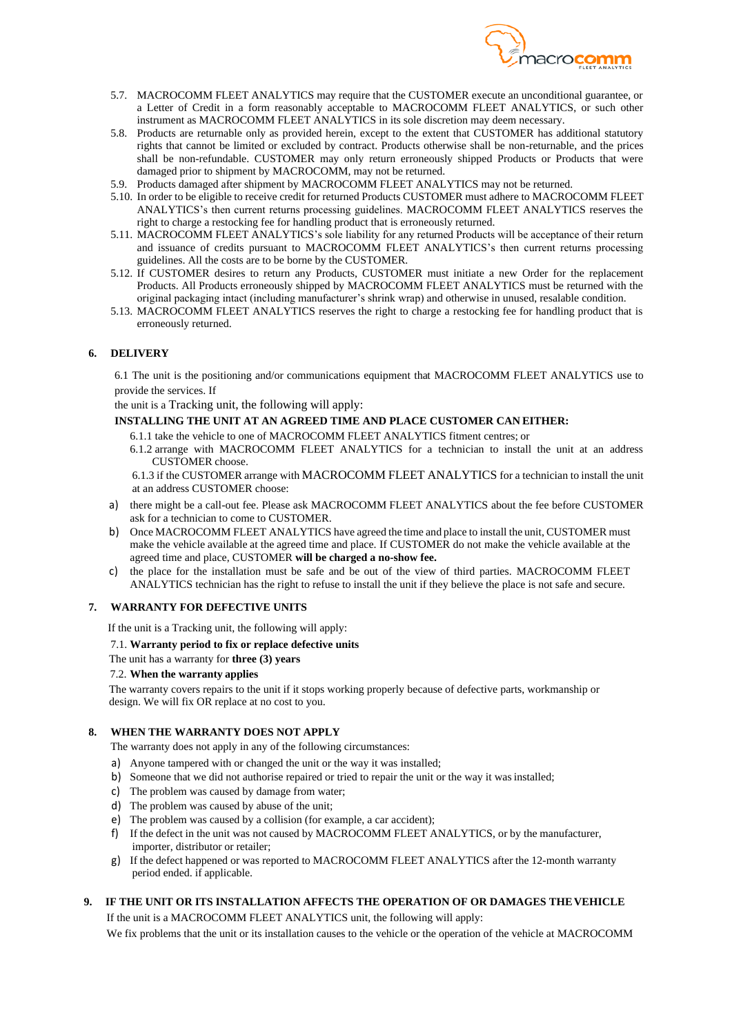

- 5.7. MACROCOMM FLEET ANALYTICS may require that the CUSTOMER execute an unconditional guarantee, or a Letter of Credit in a form reasonably acceptable to MACROCOMM FLEET ANALYTICS, or such other instrument as MACROCOMM FLEET ANALYTICS in its sole discretion may deem necessary.
- 5.8. Products are returnable only as provided herein, except to the extent that CUSTOMER has additional statutory rights that cannot be limited or excluded by contract. Products otherwise shall be non-returnable, and the prices shall be non-refundable. CUSTOMER may only return erroneously shipped Products or Products that were damaged prior to shipment by MACROCOMM, may not be returned.
- 5.9. Products damaged after shipment by MACROCOMM FLEET ANALYTICS may not be returned.
- 5.10. In order to be eligible to receive credit for returned Products CUSTOMER must adhere to MACROCOMM FLEET ANALYTICS's then current returns processing guidelines. MACROCOMM FLEET ANALYTICS reserves the right to charge a restocking fee for handling product that is erroneously returned.
- 5.11. MACROCOMM FLEET ANALYTICS's sole liability for any returned Products will be acceptance of their return and issuance of credits pursuant to MACROCOMM FLEET ANALYTICS's then current returns processing guidelines. All the costs are to be borne by the CUSTOMER.
- 5.12. If CUSTOMER desires to return any Products, CUSTOMER must initiate a new Order for the replacement Products. All Products erroneously shipped by MACROCOMM FLEET ANALYTICS must be returned with the original packaging intact (including manufacturer's shrink wrap) and otherwise in unused, resalable condition.
- 5.13. MACROCOMM FLEET ANALYTICS reserves the right to charge a restocking fee for handling product that is erroneously returned.

# **6. DELIVERY**

6.1 The unit is the positioning and/or communications equipment that MACROCOMM FLEET ANALYTICS use to provide the services. If

the unit is a Tracking unit, the following will apply:

### **INSTALLING THE UNIT AT AN AGREED TIME AND PLACE CUSTOMER CAN EITHER:**

- 6.1.1 take the vehicle to one of MACROCOMM FLEET ANALYTICS fitment centres; or
- 6.1.2 arrange with MACROCOMM FLEET ANALYTICS for a technician to install the unit at an address CUSTOMER choose.

6.1.3 if the CUSTOMER arrange with MACROCOMM FLEET ANALYTICS for a technician to install the unit at an address CUSTOMER choose:

- a) there might be a call-out fee. Please ask MACROCOMM FLEET ANALYTICS about the fee before CUSTOMER ask for a technician to come to CUSTOMER.
- b) Once MACROCOMM FLEET ANALYTICS have agreed the time and place to install the unit, CUSTOMER must make the vehicle available at the agreed time and place. If CUSTOMER do not make the vehicle available at the agreed time and place, CUSTOMER **will be charged a no-show fee.**
- c) the place for the installation must be safe and be out of the view of third parties. MACROCOMM FLEET ANALYTICS technician has the right to refuse to install the unit if they believe the place is not safe and secure.

## **7. WARRANTY FOR DEFECTIVE UNITS**

If the unit is a Tracking unit, the following will apply:

## 7.1. **Warranty period to fix or replace defective units**

#### The unit has a warranty for **three (3) years**

## 7.2. **When the warranty applies**

The warranty covers repairs to the unit if it stops working properly because of defective parts, workmanship or design. We will fix OR replace at no cost to you.

## **8. WHEN THE WARRANTY DOES NOT APPLY**

The warranty does not apply in any of the following circumstances:

- a) Anyone tampered with or changed the unit or the way it was installed;
- b) Someone that we did not authorise repaired or tried to repair the unit or the way it was installed;
- c) The problem was caused by damage from water;
- d) The problem was caused by abuse of the unit;
- e) The problem was caused by a collision (for example, a car accident);
- f) If the defect in the unit was not caused by MACROCOMM FLEET ANALYTICS, or by the manufacturer, importer, distributor or retailer;
- g) If the defect happened or was reported to MACROCOMM FLEET ANALYTICS after the 12-month warranty period ended. if applicable.

## **9. IF THE UNIT OR ITS INSTALLATION AFFECTS THE OPERATION OF OR DAMAGES THEVEHICLE**

If the unit is a MACROCOMM FLEET ANALYTICS unit, the following will apply:

We fix problems that the unit or its installation causes to the vehicle or the operation of the vehicle at MACROCOMM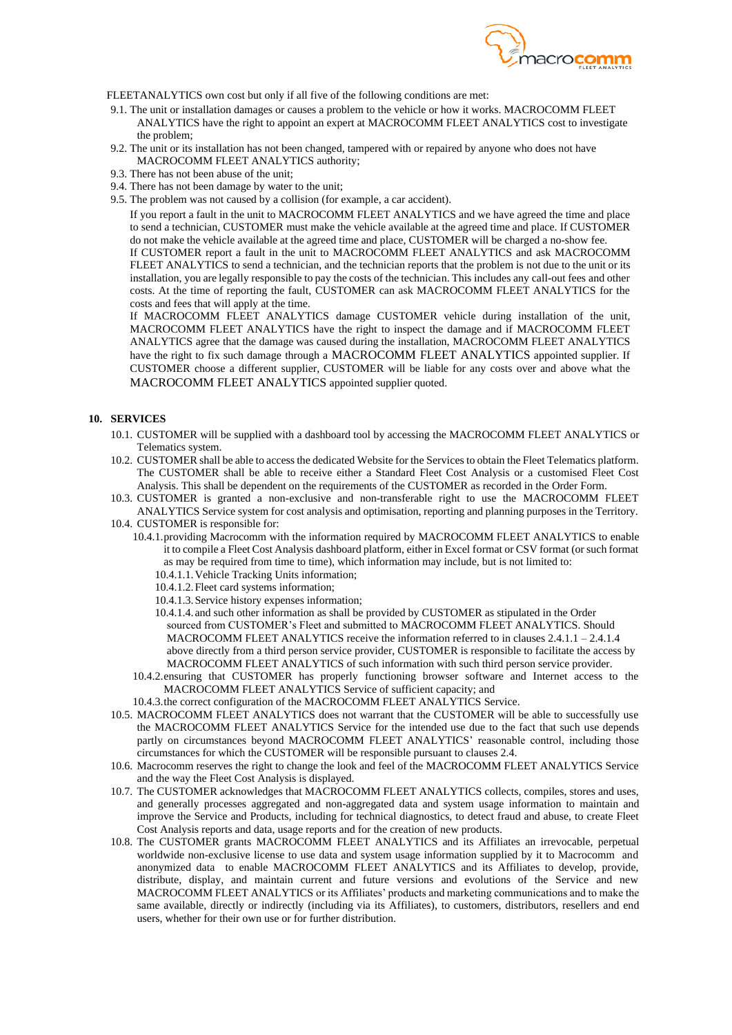

FLEETANALYTICS own cost but only if all five of the following conditions are met:

- 9.1. The unit or installation damages or causes a problem to the vehicle or how it works. MACROCOMM FLEET ANALYTICS have the right to appoint an expert at MACROCOMM FLEET ANALYTICS cost to investigate the problem;
- 9.2. The unit or its installation has not been changed, tampered with or repaired by anyone who does not have MACROCOMM FLEET ANALYTICS authority;
- 9.3. There has not been abuse of the unit;
- 9.4. There has not been damage by water to the unit;
- 9.5. The problem was not caused by a collision (for example, a car accident).

If you report a fault in the unit to MACROCOMM FLEET ANALYTICS and we have agreed the time and place to send a technician, CUSTOMER must make the vehicle available at the agreed time and place. If CUSTOMER do not make the vehicle available at the agreed time and place, CUSTOMER will be charged a no-show fee.

If CUSTOMER report a fault in the unit to MACROCOMM FLEET ANALYTICS and ask MACROCOMM FLEET ANALYTICS to send a technician, and the technician reports that the problem is not due to the unit or its installation, you are legally responsible to pay the costs of the technician. This includes any call-out fees and other costs. At the time of reporting the fault, CUSTOMER can ask MACROCOMM FLEET ANALYTICS for the costs and fees that will apply at the time.

If MACROCOMM FLEET ANALYTICS damage CUSTOMER vehicle during installation of the unit, MACROCOMM FLEET ANALYTICS have the right to inspect the damage and if MACROCOMM FLEET ANALYTICS agree that the damage was caused during the installation, MACROCOMM FLEET ANALYTICS have the right to fix such damage through a MACROCOMM FLEET ANALYTICS appointed supplier. If CUSTOMER choose a different supplier, CUSTOMER will be liable for any costs over and above what the MACROCOMM FLEET ANALYTICS appointed supplier quoted.

## **10. SERVICES**

- 10.1. CUSTOMER will be supplied with a dashboard tool by accessing the MACROCOMM FLEET ANALYTICS or Telematics system.
- 10.2. CUSTOMER shall be able to access the dedicated Website for the Services to obtain the Fleet Telematics platform. The CUSTOMER shall be able to receive either a Standard Fleet Cost Analysis or a customised Fleet Cost Analysis. This shall be dependent on the requirements of the CUSTOMER as recorded in the Order Form.
- 10.3. CUSTOMER is granted a non-exclusive and non-transferable right to use the MACROCOMM FLEET ANALYTICS Service system for cost analysis and optimisation, reporting and planning purposes in the Territory.
- 10.4. CUSTOMER is responsible for:
	- 10.4.1.providing Macrocomm with the information required by MACROCOMM FLEET ANALYTICS to enable it to compile a Fleet Cost Analysis dashboard platform, either in Excel format or CSV format (or such format as may be required from time to time), which information may include, but is not limited to:
		- 10.4.1.1.Vehicle Tracking Units information;
		- 10.4.1.2.Fleet card systems information;
		- 10.4.1.3.Service history expenses information;
		- 10.4.1.4. and such other information as shall be provided by CUSTOMER as stipulated in the Order sourced from CUSTOMER's Fleet and submitted to MACROCOMM FLEET ANALYTICS. Should MACROCOMM FLEET ANALYTICS receive the information referred to in clauses 2.4.1.1 – 2.4.1.4 above directly from a third person service provider, CUSTOMER is responsible to facilitate the access by MACROCOMM FLEET ANALYTICS of such information with such third person service provider.
	- 10.4.2.ensuring that CUSTOMER has properly functioning browser software and Internet access to the MACROCOMM FLEET ANALYTICS Service of sufficient capacity; and
	- 10.4.3.the correct configuration of the MACROCOMM FLEET ANALYTICS Service.
- 10.5. MACROCOMM FLEET ANALYTICS does not warrant that the CUSTOMER will be able to successfully use the MACROCOMM FLEET ANALYTICS Service for the intended use due to the fact that such use depends partly on circumstances beyond MACROCOMM FLEET ANALYTICS' reasonable control, including those circumstances for which the CUSTOMER will be responsible pursuant to clauses 2.4.
- 10.6. Macrocomm reserves the right to change the look and feel of the MACROCOMM FLEET ANALYTICS Service and the way the Fleet Cost Analysis is displayed.
- 10.7. The CUSTOMER acknowledges that MACROCOMM FLEET ANALYTICS collects, compiles, stores and uses, and generally processes aggregated and non-aggregated data and system usage information to maintain and improve the Service and Products, including for technical diagnostics, to detect fraud and abuse, to create Fleet Cost Analysis reports and data, usage reports and for the creation of new products.
- 10.8. The CUSTOMER grants MACROCOMM FLEET ANALYTICS and its Affiliates an irrevocable, perpetual worldwide non-exclusive license to use data and system usage information supplied by it to Macrocomm and anonymized data to enable MACROCOMM FLEET ANALYTICS and its Affiliates to develop, provide, distribute, display, and maintain current and future versions and evolutions of the Service and new MACROCOMM FLEET ANALYTICS or its Affiliates' products and marketing communications and to make the same available, directly or indirectly (including via its Affiliates), to customers, distributors, resellers and end users, whether for their own use or for further distribution.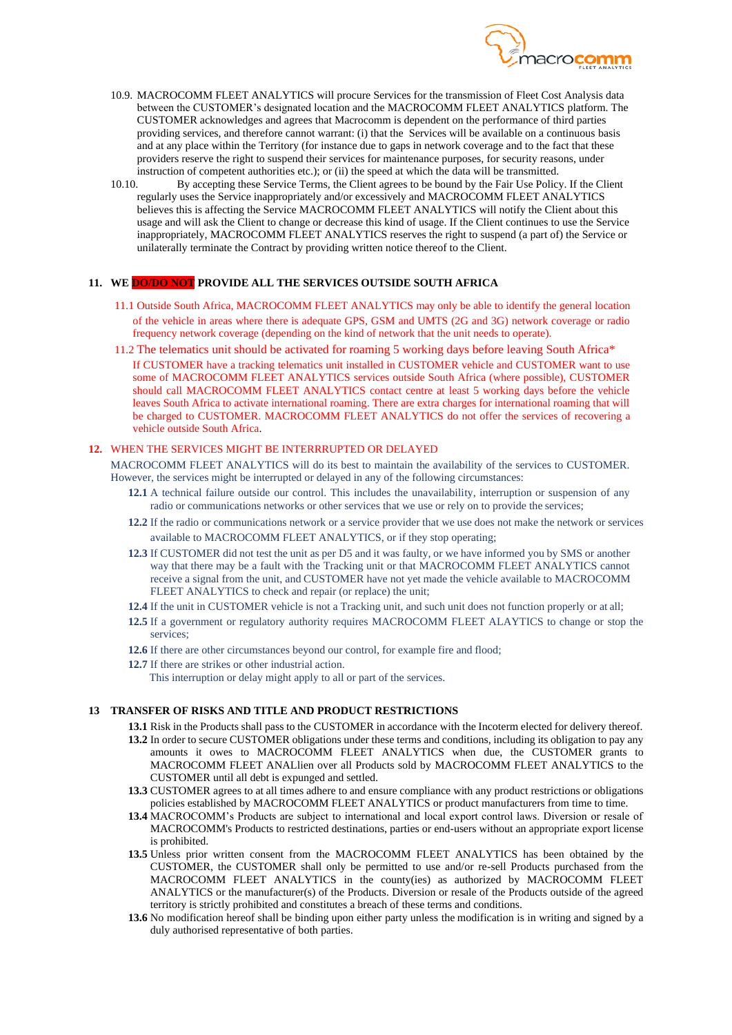

- 10.9. MACROCOMM FLEET ANALYTICS will procure Services for the transmission of Fleet Cost Analysis data between the CUSTOMER's designated location and the MACROCOMM FLEET ANALYTICS platform. The CUSTOMER acknowledges and agrees that Macrocomm is dependent on the performance of third parties providing services, and therefore cannot warrant: (i) that the Services will be available on a continuous basis and at any place within the Territory (for instance due to gaps in network coverage and to the fact that these providers reserve the right to suspend their services for maintenance purposes, for security reasons, under instruction of competent authorities etc.); or (ii) the speed at which the data will be transmitted.<br>10.10. By accepting these Service Terms, the Client agrees to be bound by the Fair Use Polic
- 10.10. By accepting these Service Terms, the Client agrees to be bound by the Fair Use Policy. If the Client regularly uses the Service inappropriately and/or excessively and MACROCOMM FLEET ANALYTICS believes this is affecting the Service MACROCOMM FLEET ANALYTICS will notify the Client about this usage and will ask the Client to change or decrease this kind of usage. If the Client continues to use the Service inappropriately, MACROCOMM FLEET ANALYTICS reserves the right to suspend (a part of) the Service or unilaterally terminate the Contract by providing written notice thereof to the Client.

## **11. WE DO/DO NOT PROVIDE ALL THE SERVICES OUTSIDE SOUTH AFRICA**

- 11.1 Outside South Africa, MACROCOMM FLEET ANALYTICS may only be able to identify the general location of the vehicle in areas where there is adequate GPS, GSM and UMTS (2G and 3G) network coverage or radio frequency network coverage (depending on the kind of network that the unit needs to operate).
- 11.2 The telematics unit should be activated for roaming 5 working days before leaving South Africa\* If CUSTOMER have a tracking telematics unit installed in CUSTOMER vehicle and CUSTOMER want to use some of MACROCOMM FLEET ANALYTICS services outside South Africa (where possible), CUSTOMER should call MACROCOMM FLEET ANALYTICS contact centre at least 5 working days before the vehicle leaves South Africa to activate international roaming. There are extra charges for international roaming that will be charged to CUSTOMER. MACROCOMM FLEET ANALYTICS do not offer the services of recovering a vehicle outside South Africa.

## **12.** WHEN THE SERVICES MIGHT BE INTERRRUPTED OR DELAYED

MACROCOMM FLEET ANALYTICS will do its best to maintain the availability of the services to CUSTOMER. However, the services might be interrupted or delayed in any of the following circumstances:

- **12.1** A technical failure outside our control. This includes the unavailability, interruption or suspension of any radio or communications networks or other services that we use or rely on to provide the services;
- **12.2** If the radio or communications network or a service provider that we use does not make the network or services available to MACROCOMM FLEET ANALYTICS, or if they stop operating;
- **12.3** If CUSTOMER did not test the unit as per D5 and it was faulty, or we have informed you by SMS or another way that there may be a fault with the Tracking unit or that MACROCOMM FLEET ANALYTICS cannot receive a signal from the unit, and CUSTOMER have not yet made the vehicle available to MACROCOMM FLEET ANALYTICS to check and repair (or replace) the unit;
- **12.4** If the unit in CUSTOMER vehicle is not a Tracking unit, and such unit does not function properly or at all;
- **12.5** If a government or regulatory authority requires MACROCOMM FLEET ALAYTICS to change or stop the services;
- **12.6** If there are other circumstances beyond our control, for example fire and flood;
- **12.7** If there are strikes or other industrial action.
	- This interruption or delay might apply to all or part of the services.

#### **13 TRANSFER OF RISKS AND TITLE AND PRODUCT RESTRICTIONS**

- **13.1** Risk in the Products shall pass to the CUSTOMER in accordance with the Incoterm elected for delivery thereof.
- **13.2** In order to secure CUSTOMER obligations under these terms and conditions, including its obligation to pay any amounts it owes to MACROCOMM FLEET ANALYTICS when due, the CUSTOMER grants to MACROCOMM FLEET ANALlien over all Products sold by MACROCOMM FLEET ANALYTICS to the CUSTOMER until all debt is expunged and settled.
- **13.3** CUSTOMER agrees to at all times adhere to and ensure compliance with any product restrictions or obligations policies established by MACROCOMM FLEET ANALYTICS or product manufacturers from time to time.
- **13.4** MACROCOMM's Products are subject to international and local export control laws. Diversion or resale of MACROCOMM's Products to restricted destinations, parties or end-users without an appropriate export license is prohibited.
- **13.5** Unless prior written consent from the MACROCOMM FLEET ANALYTICS has been obtained by the CUSTOMER, the CUSTOMER shall only be permitted to use and/or re-sell Products purchased from the MACROCOMM FLEET ANALYTICS in the county(ies) as authorized by MACROCOMM FLEET ANALYTICS or the manufacturer(s) of the Products. Diversion or resale of the Products outside of the agreed territory is strictly prohibited and constitutes a breach of these terms and conditions.
- **13.6** No modification hereof shall be binding upon either party unless the modification is in writing and signed by a duly authorised representative of both parties.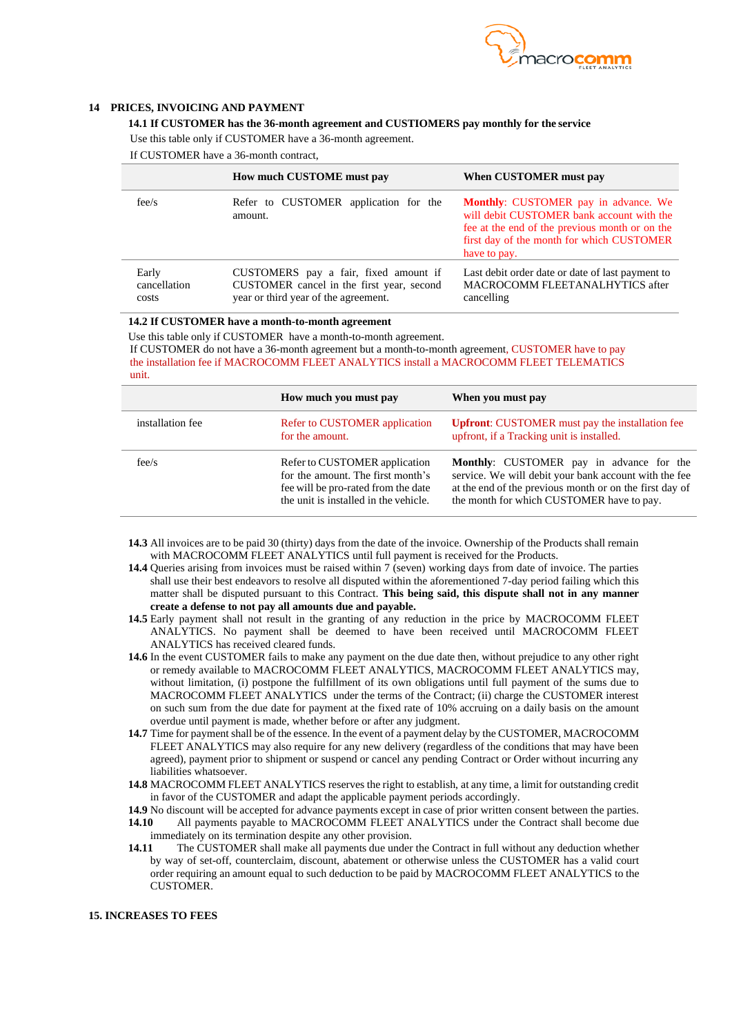

# **14 PRICES, INVOICING AND PAYMENT**

#### **14.1 If CUSTOMER has the 36-month agreement and CUSTIOMERS pay monthly for the service**

Use this table only if CUSTOMER have a 36-month agreement.

If CUSTOMER have a 36-month contract,

|                                | How much CUSTOME must pay                                                                                                  | When CUSTOMER must pay                                                                                                                                                                                  |
|--------------------------------|----------------------------------------------------------------------------------------------------------------------------|---------------------------------------------------------------------------------------------------------------------------------------------------------------------------------------------------------|
| fee/s                          | Refer to CUSTOMER application for the<br>amount.                                                                           | <b>Monthly:</b> CUSTOMER pay in advance. We<br>will debit CUSTOMER bank account with the<br>fee at the end of the previous month or on the<br>first day of the month for which CUSTOMER<br>have to pay. |
| Early<br>cancellation<br>costs | CUSTOMERS pay a fair, fixed amount if<br>CUSTOMER cancel in the first year, second<br>year or third year of the agreement. | Last debit order date or date of last payment to<br>MACROCOMM FLEETANALHYTICS after<br>cancelling                                                                                                       |

# **14.2 If CUSTOMER have a month-to-month agreement**

Use this table only if CUSTOMER have a month-to-month agreement.

If CUSTOMER do not have a 36-month agreement but a month-to-month agreement, CUSTOMER have to pay the installation fee if MACROCOMM FLEET ANALYTICS install a MACROCOMM FLEET TELEMATICS unit.

|                  | How much you must pay                                                                                                                              | When you must pay                                                                                                                                                                                                |
|------------------|----------------------------------------------------------------------------------------------------------------------------------------------------|------------------------------------------------------------------------------------------------------------------------------------------------------------------------------------------------------------------|
| installation fee | Refer to CUSTOMER application<br>for the amount.                                                                                                   | <b>Upfront:</b> CUSTOMER must pay the installation fee<br>upfront, if a Tracking unit is installed.                                                                                                              |
| fee/s            | Refer to CUSTOMER application<br>for the amount. The first month's<br>fee will be pro-rated from the date<br>the unit is installed in the vehicle. | <b>Monthly:</b> CUSTOMER pay in advance for the<br>service. We will debit your bank account with the fee<br>at the end of the previous month or on the first day of<br>the month for which CUSTOMER have to pay. |

- **14.3** All invoices are to be paid 30 (thirty) days from the date of the invoice. Ownership of the Products shall remain with MACROCOMM FLEET ANALYTICS until full payment is received for the Products.
- **14.4** Queries arising from invoices must be raised within 7 (seven) working days from date of invoice. The parties shall use their best endeavors to resolve all disputed within the aforementioned 7-day period failing which this matter shall be disputed pursuant to this Contract. **This being said, this dispute shall not in any manner create a defense to not pay all amounts due and payable.**
- **14.5** Early payment shall not result in the granting of any reduction in the price by MACROCOMM FLEET ANALYTICS. No payment shall be deemed to have been received until MACROCOMM FLEET ANALYTICS has received cleared funds.
- **14.6** In the event CUSTOMER fails to make any payment on the due date then, without prejudice to any other right or remedy available to MACROCOMM FLEET ANALYTICS, MACROCOMM FLEET ANALYTICS may, without limitation, (i) postpone the fulfillment of its own obligations until full payment of the sums due to MACROCOMM FLEET ANALYTICS under the terms of the Contract; (ii) charge the CUSTOMER interest on such sum from the due date for payment at the fixed rate of 10% accruing on a daily basis on the amount overdue until payment is made, whether before or after any judgment.
- **14.7** Time for payment shall be of the essence. In the event of a payment delay by the CUSTOMER, MACROCOMM FLEET ANALYTICS may also require for any new delivery (regardless of the conditions that may have been agreed), payment prior to shipment or suspend or cancel any pending Contract or Order without incurring any liabilities whatsoever.
- **14.8** MACROCOMM FLEET ANALYTICS reserves the right to establish, at any time, a limit for outstanding credit in favor of the CUSTOMER and adapt the applicable payment periods accordingly.
- **14.9** No discount will be accepted for advance payments except in case of prior written consent between the parties. **14.10** All payments payable to MACROCOMM FLEET ANALYTICS under the Contract shall become due immediately on its termination despite any other provision.
- **14.11** The CUSTOMER shall make all payments due under the Contract in full without any deduction whether by way of set-off, counterclaim, discount, abatement or otherwise unless the CUSTOMER has a valid court order requiring an amount equal to such deduction to be paid by MACROCOMM FLEET ANALYTICS to the CUSTOMER.

### **15. INCREASES TO FEES**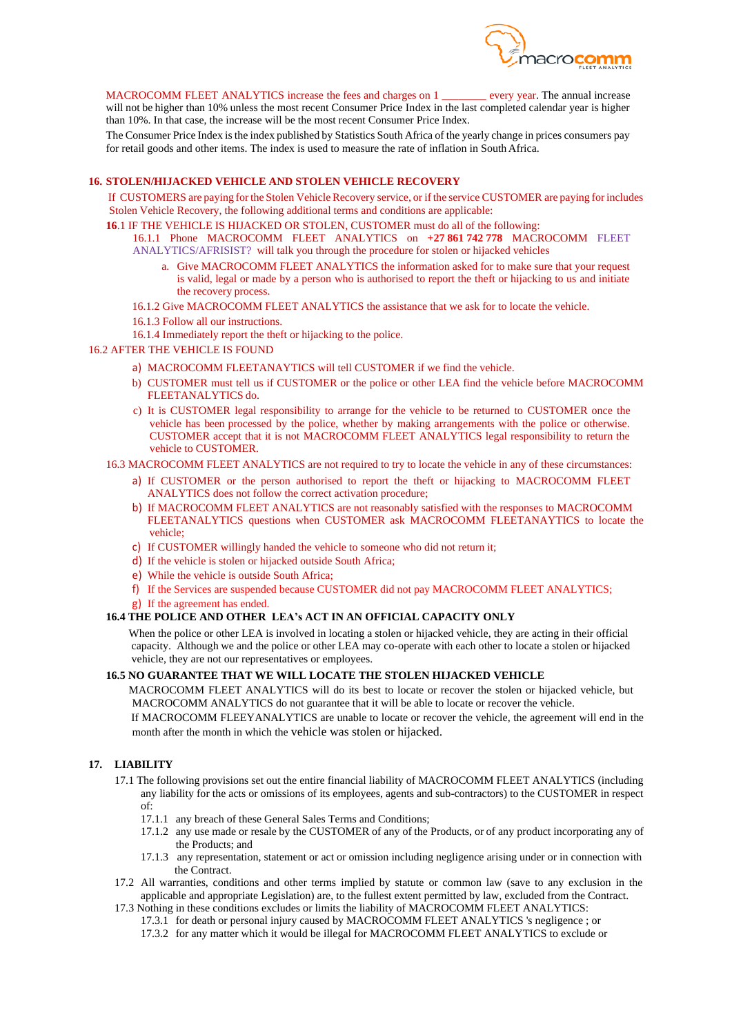

MACROCOMM FLEET ANALYTICS increase the fees and charges on 1 \_\_\_\_\_\_\_\_ every year. The annual increase will not be higher than 10% unless the most recent Consumer Price Index in the last completed calendar year is higher than 10%. In that case, the increase will be the most recent Consumer Price Index.

The Consumer Price Index isthe index published by Statistics South Africa of the yearly change in prices consumers pay for retail goods and other items. The index is used to measure the rate of inflation in South Africa.

### **16. STOLEN/HIJACKED VEHICLE AND STOLEN VEHICLE RECOVERY**

 If CUSTOMERS are paying for the Stolen Vehicle Recovery service, or if the service CUSTOMER are paying for includes Stolen Vehicle Recovery, the following additional terms and conditions are applicable:

- **16**.1 IF THE VEHICLE IS HIJACKED OR STOLEN, CUSTOMER must do all of the following: 16.1.1 Phone MACROCOMM FLEET ANALYTICS on **+27 861 742 778** MACROCOMM FLEET ANALYTICS/AFRISIST? will talk you through the procedure for stolen or hijacked vehicles
	- a. Give MACROCOMM FLEET ANALYTICS the information asked for to make sure that your request is valid, legal or made by a person who is authorised to report the theft or hijacking to us and initiate the recovery process.
	- 16.1.2 Give MACROCOMM FLEET ANALYTICS the assistance that we ask for to locate the vehicle.
	- 16.1.3 Follow all our instructions.
	- 16.1.4 Immediately report the theft or hijacking to the police.

# 16.2 AFTER THE VEHICLE IS FOUND

- a) MACROCOMM FLEETANAYTICS will tell CUSTOMER if we find the vehicle.
- b) CUSTOMER must tell us if CUSTOMER or the police or other LEA find the vehicle before MACROCOMM FLEETANALYTICS do.
- c) It is CUSTOMER legal responsibility to arrange for the vehicle to be returned to CUSTOMER once the vehicle has been processed by the police, whether by making arrangements with the police or otherwise. CUSTOMER accept that it is not MACROCOMM FLEET ANALYTICS legal responsibility to return the vehicle to CUSTOMER.

# 16.3 MACROCOMM FLEET ANALYTICS are not required to try to locate the vehicle in any of these circumstances:

- a) If CUSTOMER or the person authorised to report the theft or hijacking to MACROCOMM FLEET ANALYTICS does not follow the correct activation procedure;
- b) If MACROCOMM FLEET ANALYTICS are not reasonably satisfied with the responses to MACROCOMM FLEETANALYTICS questions when CUSTOMER ask MACROCOMM FLEETANAYTICS to locate the vehicle;
- c) If CUSTOMER willingly handed the vehicle to someone who did not return it;
- d) If the vehicle is stolen or hijacked outside South Africa;
- e) While the vehicle is outside South Africa;
- f) If the Services are suspended because CUSTOMER did not pay MACROCOMM FLEET ANALYTICS;
- g) If the agreement has ended.

### **16.4 THE POLICE AND OTHER LEA's ACT IN AN OFFICIAL CAPACITY ONLY**

 When the police or other LEA is involved in locating a stolen or hijacked vehicle, they are acting in their official capacity. Although we and the police or other LEA may co-operate with each other to locate a stolen or hijacked vehicle, they are not our representatives or employees.

# **16.5 NO GUARANTEE THAT WE WILL LOCATE THE STOLEN HIJACKED VEHICLE**

 MACROCOMM FLEET ANALYTICS will do its best to locate or recover the stolen or hijacked vehicle, but MACROCOMM ANALYTICS do not guarantee that it will be able to locate or recover the vehicle.

 If MACROCOMM FLEEYANALYTICS are unable to locate or recover the vehicle, the agreement will end in the month after the month in which the vehicle was stolen or hijacked.

## **17. LIABILITY**

- 17.1 The following provisions set out the entire financial liability of MACROCOMM FLEET ANALYTICS (including any liability for the acts or omissions of its employees, agents and sub-contractors) to the CUSTOMER in respect of:
	- 17.1.1 any breach of these General Sales Terms and Conditions;
	- 17.1.2 any use made or resale by the CUSTOMER of any of the Products, or of any product incorporating any of the Products; and
	- 17.1.3 any representation, statement or act or omission including negligence arising under or in connection with the Contract.
- 17.2 All warranties, conditions and other terms implied by statute or common law (save to any exclusion in the applicable and appropriate Legislation) are, to the fullest extent permitted by law, excluded from the Contract.
- 17.3 Nothing in these conditions excludes or limits the liability of MACROCOMM FLEET ANALYTICS:
	- 17.3.1 for death or personal injury caused by MACROCOMM FLEET ANALYTICS 's negligence ; or
	- 17.3.2 for any matter which it would be illegal for MACROCOMM FLEET ANALYTICS to exclude or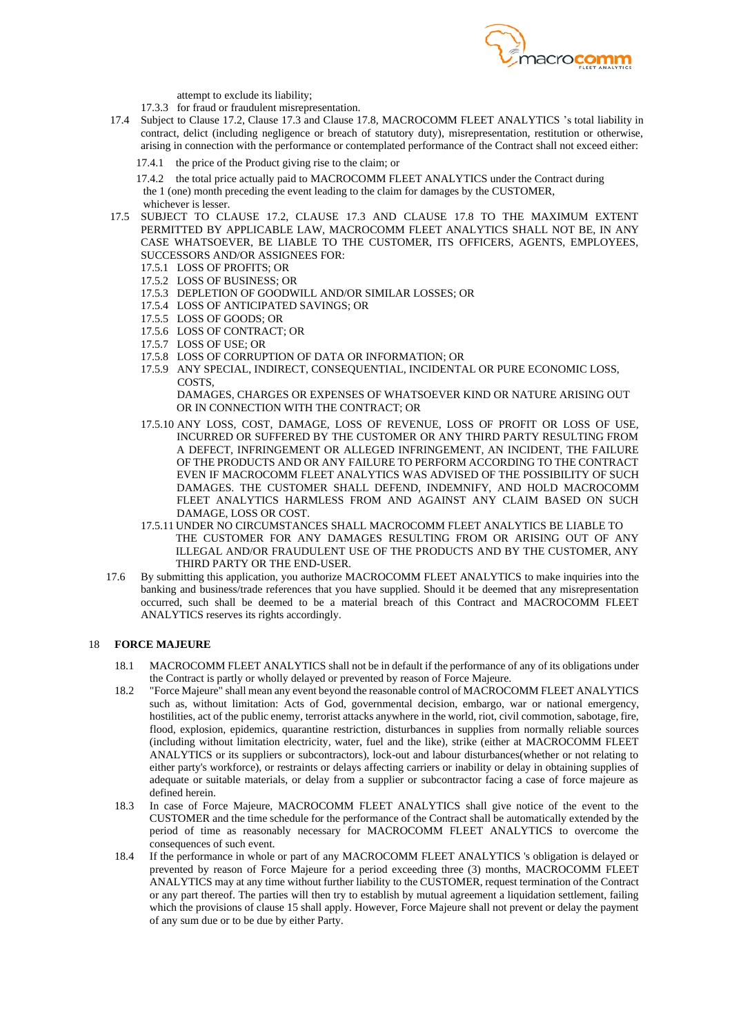

attempt to exclude its liability;

17.3.3 for fraud or fraudulent misrepresentation.

17.4 Subject to Clause 17.2, Clause 17.3 and Clause 17.8, MACROCOMM FLEET ANALYTICS 's total liability in contract, delict (including negligence or breach of statutory duty), misrepresentation, restitution or otherwise, arising in connection with the performance or contemplated performance of the Contract shall not exceed either:

17.4.1 the price of the Product giving rise to the claim; or

- 17.4.2 the total price actually paid to MACROCOMM FLEET ANALYTICS under the Contract during the 1 (one) month preceding the event leading to the claim for damages by the CUSTOMER, whichever is lesser.
- 17.5 SUBJECT TO CLAUSE 17.2, CLAUSE 17.3 AND CLAUSE 17.8 TO THE MAXIMUM EXTENT PERMITTED BY APPLICABLE LAW, MACROCOMM FLEET ANALYTICS SHALL NOT BE, IN ANY CASE WHATSOEVER, BE LIABLE TO THE CUSTOMER, ITS OFFICERS, AGENTS, EMPLOYEES, SUCCESSORS AND/OR ASSIGNEES FOR:
	- 17.5.1 LOSS OF PROFITS; OR
	- 17.5.2 LOSS OF BUSINESS; OR
	- 17.5.3 DEPLETION OF GOODWILL AND/OR SIMILAR LOSSES; OR
	- 17.5.4 LOSS OF ANTICIPATED SAVINGS; OR
	- 17.5.5 LOSS OF GOODS; OR
	- 17.5.6 LOSS OF CONTRACT; OR
	- 17.5.7 LOSS OF USE; OR
	- 17.5.8 LOSS OF CORRUPTION OF DATA OR INFORMATION; OR
	- 17.5.9 ANY SPECIAL, INDIRECT, CONSEQUENTIAL, INCIDENTAL OR PURE ECONOMIC LOSS, COSTS,

DAMAGES, CHARGES OR EXPENSES OF WHATSOEVER KIND OR NATURE ARISING OUT OR IN CONNECTION WITH THE CONTRACT; OR

- 17.5.10 ANY LOSS, COST, DAMAGE, LOSS OF REVENUE, LOSS OF PROFIT OR LOSS OF USE, INCURRED OR SUFFERED BY THE CUSTOMER OR ANY THIRD PARTY RESULTING FROM A DEFECT, INFRINGEMENT OR ALLEGED INFRINGEMENT, AN INCIDENT, THE FAILURE OF THE PRODUCTS AND OR ANY FAILURE TO PERFORM ACCORDING TO THE CONTRACT EVEN IF MACROCOMM FLEET ANALYTICS WAS ADVISED OF THE POSSIBILITY OF SUCH DAMAGES. THE CUSTOMER SHALL DEFEND, INDEMNIFY, AND HOLD MACROCOMM FLEET ANALYTICS HARMLESS FROM AND AGAINST ANY CLAIM BASED ON SUCH DAMAGE, LOSS OR COST.
- 17.5.11 UNDER NO CIRCUMSTANCES SHALL MACROCOMM FLEET ANALYTICS BE LIABLE TO THE CUSTOMER FOR ANY DAMAGES RESULTING FROM OR ARISING OUT OF ANY ILLEGAL AND/OR FRAUDULENT USE OF THE PRODUCTS AND BY THE CUSTOMER, ANY THIRD PARTY OR THE END-USER.
- 17.6 By submitting this application, you authorize MACROCOMM FLEET ANALYTICS to make inquiries into the banking and business/trade references that you have supplied. Should it be deemed that any misrepresentation occurred, such shall be deemed to be a material breach of this Contract and MACROCOMM FLEET ANALYTICS reserves its rights accordingly.

### 18 **FORCE MAJEURE**

- 18.1 MACROCOMM FLEET ANALYTICS shall not be in default if the performance of any of its obligations under the Contract is partly or wholly delayed or prevented by reason of Force Majeure.
- 18.2 "Force Majeure" shall mean any event beyond the reasonable control of MACROCOMM FLEET ANALYTICS such as, without limitation: Acts of God, governmental decision, embargo, war or national emergency, hostilities, act of the public enemy, terrorist attacks anywhere in the world, riot, civil commotion, sabotage, fire, flood, explosion, epidemics, quarantine restriction, disturbances in supplies from normally reliable sources (including without limitation electricity, water, fuel and the like), strike (either at MACROCOMM FLEET ANALYTICS or its suppliers or subcontractors), lock-out and labour disturbances(whether or not relating to either party's workforce), or restraints or delays affecting carriers or inability or delay in obtaining supplies of adequate or suitable materials, or delay from a supplier or subcontractor facing a case of force majeure as defined herein.
- 18.3 In case of Force Majeure, MACROCOMM FLEET ANALYTICS shall give notice of the event to the CUSTOMER and the time schedule for the performance of the Contract shall be automatically extended by the period of time as reasonably necessary for MACROCOMM FLEET ANALYTICS to overcome the consequences of such event.
- 18.4 If the performance in whole or part of any MACROCOMM FLEET ANALYTICS 's obligation is delayed or prevented by reason of Force Majeure for a period exceeding three (3) months, MACROCOMM FLEET ANALYTICS may at any time without further liability to the CUSTOMER, request termination of the Contract or any part thereof. The parties will then try to establish by mutual agreement a liquidation settlement, failing which the provisions of clause 15 shall apply. However, Force Majeure shall not prevent or delay the payment of any sum due or to be due by either Party.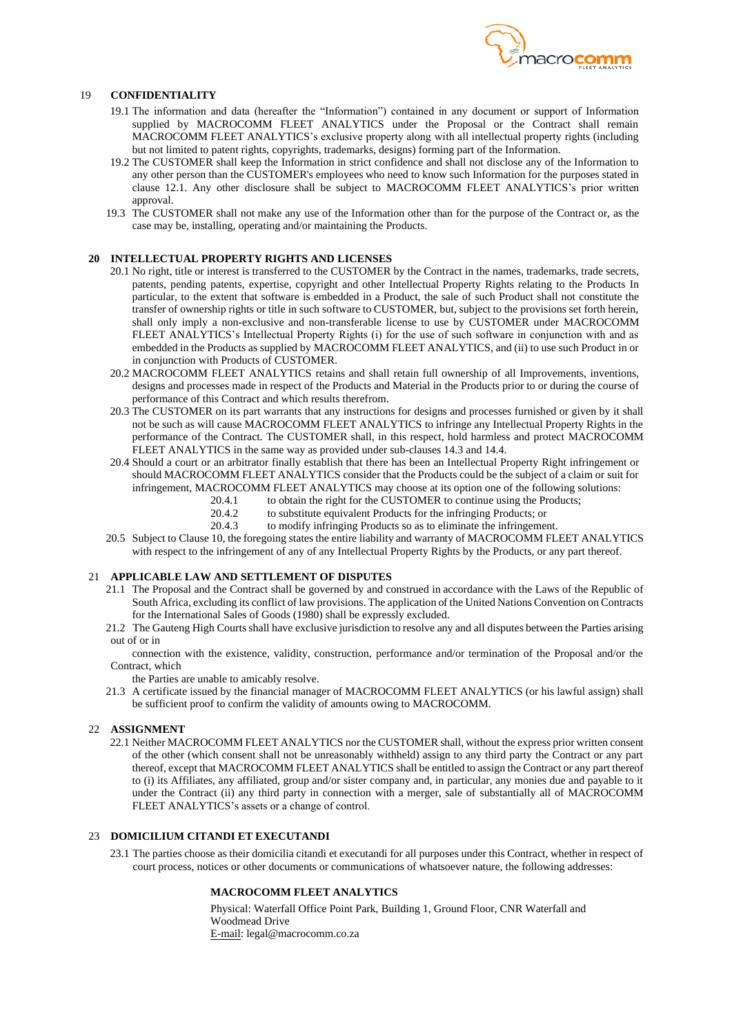

## 19 **CONFIDENTIALITY**

- 19.1 The information and data (hereafter the "Information") contained in any document or support of Information supplied by MACROCOMM FLEET ANALYTICS under the Proposal or the Contract shall remain MACROCOMM FLEET ANALYTICS's exclusive property along with all intellectual property rights (including but not limited to patent rights, copyrights, trademarks, designs) forming part of the Information.
- 19.2 The CUSTOMER shall keep the Information in strict confidence and shall not disclose any of the Information to any other person than the CUSTOMER's employees who need to know such Information for the purposes stated in clause 12.1. Any other disclosure shall be subject to MACROCOMM FLEET ANALYTICS's prior written approval.
- 19.3 The CUSTOMER shall not make any use of the Information other than for the purpose of the Contract or, as the case may be, installing, operating and/or maintaining the Products.

#### **20 INTELLECTUAL PROPERTY RIGHTS AND LICENSES**

- 20.1 No right, title or interest is transferred to the CUSTOMER by the Contract in the names, trademarks, trade secrets, patents, pending patents, expertise, copyright and other Intellectual Property Rights relating to the Products In particular, to the extent that software is embedded in a Product, the sale of such Product shall not constitute the transfer of ownership rights or title in such software to CUSTOMER, but, subject to the provisions set forth herein, shall only imply a non-exclusive and non-transferable license to use by CUSTOMER under MACROCOMM FLEET ANALYTICS's Intellectual Property Rights (i) for the use of such software in conjunction with and as embedded in the Products as supplied by MACROCOMM FLEET ANALYTICS, and (ii) to use such Product in or in conjunction with Products of CUSTOMER.
- 20.2 MACROCOMM FLEET ANALYTICS retains and shall retain full ownership of all Improvements, inventions, designs and processes made in respect of the Products and Material in the Products prior to or during the course of performance of this Contract and which results therefrom.
- 20.3 The CUSTOMER on its part warrants that any instructions for designs and processes furnished or given by it shall not be such as will cause MACROCOMM FLEET ANALYTICS to infringe any Intellectual Property Rights in the performance of the Contract. The CUSTOMER shall, in this respect, hold harmless and protect MACROCOMM FLEET ANALYTICS in the same way as provided under sub-clauses 14.3 and 14.4.
- 20.4 Should a court or an arbitrator finally establish that there has been an Intellectual Property Right infringement or should MACROCOMM FLEET ANALYTICS consider that the Products could be the subject of a claim or suit for infringement, MACROCOMM FLEET ANALYTICS may choose at its option one of the following solutions:
	- 20.4.1 to obtain the right for the CUSTOMER to continue using the Products;
		- 20.4.2 to substitute equivalent Products for the infringing Products; or
		- 20.4.3 to modify infringing Products so as to eliminate the infringement.
- 20.5 Subject to Clause 10, the foregoing states the entire liability and warranty of MACROCOMM FLEET ANALYTICS with respect to the infringement of any of any Intellectual Property Rights by the Products, or any part thereof.

# 21 **APPLICABLE LAW AND SETTLEMENT OF DISPUTES**

- 21.1 The Proposal and the Contract shall be governed by and construed in accordance with the Laws of the Republic of South Africa, excluding its conflict of law provisions. The application of the United Nations Convention on Contracts for the International Sales of Goods (1980) shall be expressly excluded.
- 21.2 The Gauteng High Courts shall have exclusive jurisdiction to resolve any and all disputes between the Parties arising out of or in

connection with the existence, validity, construction, performance and/or termination of the Proposal and/or the Contract, which

- the Parties are unable to amicably resolve.
- 21.3 A certificate issued by the financial manager of MACROCOMM FLEET ANALYTICS (or his lawful assign) shall be sufficient proof to confirm the validity of amounts owing to MACROCOMM.

### 22 **ASSIGNMENT**

22.1 Neither MACROCOMM FLEET ANALYTICS nor the CUSTOMER shall, without the express prior written consent of the other (which consent shall not be unreasonably withheld) assign to any third party the Contract or any part thereof, except that MACROCOMM FLEET ANALYTICS shall be entitled to assign the Contract or any part thereof to (i) its Affiliates, any affiliated, group and/or sister company and, in particular, any monies due and payable to it under the Contract (ii) any third party in connection with a merger, sale of substantially all of MACROCOMM FLEET ANALYTICS's assets or a change of control.

## 23 **DOMICILIUM CITANDI ET EXECUTANDI**

23.1 The parties choose as their domicilia citandi et executandi for all purposes under this Contract, whether in respect of court process, notices or other documents or communications of whatsoever nature, the following addresses:

# **MACROCOMM FLEET ANALYTICS**

Physical: Waterfall Office Point Park, Building 1, Ground Floor, CNR Waterfall and Woodmead Drive E-mail: legal@macrocomm.co.za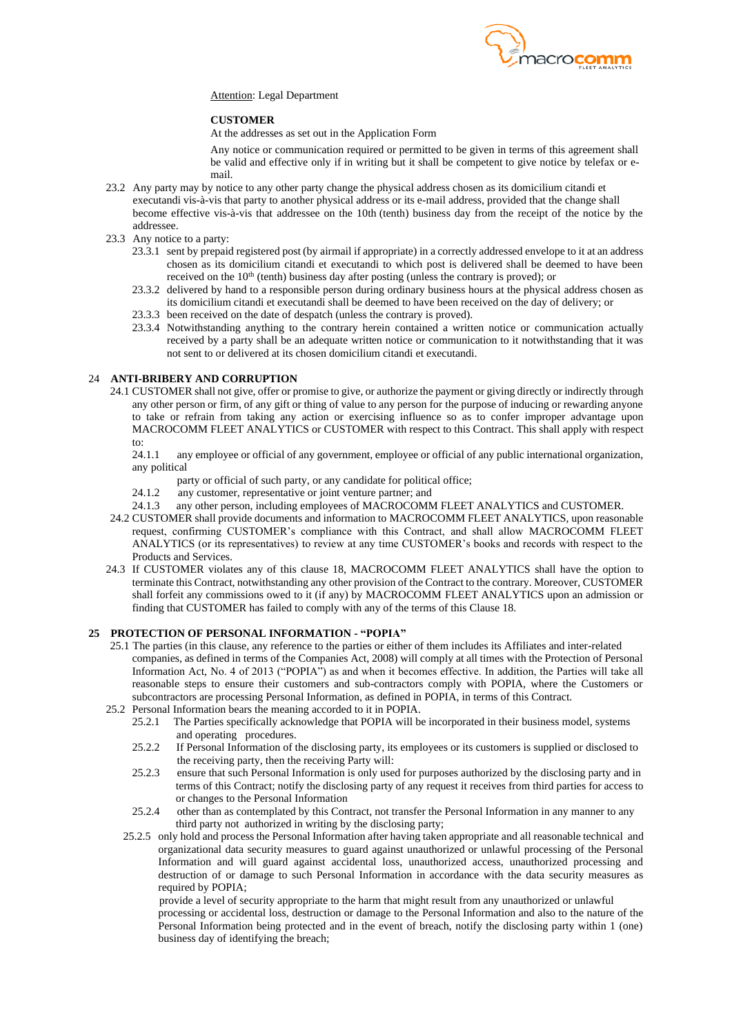

#### Attention: Legal Department

### **CUSTOMER**

At the addresses as set out in the Application Form

Any notice or communication required or permitted to be given in terms of this agreement shall be valid and effective only if in writing but it shall be competent to give notice by telefax or email.

- 23.2 Any party may by notice to any other party change the physical address chosen as its domicilium citandi et executandi vis-à-vis that party to another physical address or its e-mail address, provided that the change shall become effective vis-à-vis that addressee on the 10th (tenth) business day from the receipt of the notice by the addressee.
- 23.3 Any notice to a party:
	- 23.3.1 sent by prepaid registered post (by airmail if appropriate) in a correctly addressed envelope to it at an address chosen as its domicilium citandi et executandi to which post is delivered shall be deemed to have been received on the 10<sup>th</sup> (tenth) business day after posting (unless the contrary is proved); or
	- 23.3.2 delivered by hand to a responsible person during ordinary business hours at the physical address chosen as its domicilium citandi et executandi shall be deemed to have been received on the day of delivery; or
	- 23.3.3 been received on the date of despatch (unless the contrary is proved).
	- 23.3.4 Notwithstanding anything to the contrary herein contained a written notice or communication actually received by a party shall be an adequate written notice or communication to it notwithstanding that it was not sent to or delivered at its chosen domicilium citandi et executandi.

## 24 **ANTI-BRIBERY AND CORRUPTION**

24.1 CUSTOMER shall not give, offer or promise to give, or authorize the payment or giving directly or indirectly through any other person or firm, of any gift or thing of value to any person for the purpose of inducing or rewarding anyone to take or refrain from taking any action or exercising influence so as to confer improper advantage upon MACROCOMM FLEET ANALYTICS or CUSTOMER with respect to this Contract. This shall apply with respect to:

24.1.1 any employee or official of any government, employee or official of any public international organization, any political

- party or official of such party, or any candidate for political office;
- 24.1.2 any customer, representative or joint venture partner; and
- 24.1.3 any other person, including employees of MACROCOMM FLEET ANALYTICS and CUSTOMER.
- 24.2 CUSTOMER shall provide documents and information to MACROCOMM FLEET ANALYTICS, upon reasonable request, confirming CUSTOMER's compliance with this Contract, and shall allow MACROCOMM FLEET ANALYTICS (or its representatives) to review at any time CUSTOMER's books and records with respect to the Products and Services.
- 24.3 If CUSTOMER violates any of this clause 18, MACROCOMM FLEET ANALYTICS shall have the option to terminate this Contract, notwithstanding any other provision of the Contract to the contrary. Moreover, CUSTOMER shall forfeit any commissions owed to it (if any) by MACROCOMM FLEET ANALYTICS upon an admission or finding that CUSTOMER has failed to comply with any of the terms of this Clause 18.

## **25 PROTECTION OF PERSONAL INFORMATION - "POPIA"**

- 25.1 The parties (in this clause, any reference to the parties or either of them includes its Affiliates and inter-related companies, as defined in terms of the Companies Act, 2008) will comply at all times with the Protection of Personal Information Act, No. 4 of 2013 ("POPIA") as and when it becomes effective. In addition, the Parties will take all reasonable steps to ensure their customers and sub-contractors comply with POPIA, where the Customers or subcontractors are processing Personal Information, as defined in POPIA, in terms of this Contract.
- 25.2 Personal Information bears the meaning accorded to it in POPIA.<br>25.2.1 The Parties specifically acknowledge that POPIA will be
	- 25.2.1 The Parties specifically acknowledge that POPIA will be incorporated in their business model, systems and operating procedures.
	- 25.2.2 If Personal Information of the disclosing party, its employees or its customers is supplied or disclosed to the receiving party, then the receiving Party will:
	- 25.2.3 ensure that such Personal Information is only used for purposes authorized by the disclosing party and in terms of this Contract; notify the disclosing party of any request it receives from third parties for access to or changes to the Personal Information
	- 25.2.4 other than as contemplated by this Contract, not transfer the Personal Information in any manner to any third party not authorized in writing by the disclosing party;
	- 25.2.5 only hold and process the Personal Information after having taken appropriate and all reasonable technical and organizational data security measures to guard against unauthorized or unlawful processing of the Personal Information and will guard against accidental loss, unauthorized access, unauthorized processing and destruction of or damage to such Personal Information in accordance with the data security measures as required by POPIA;

 provide a level of security appropriate to the harm that might result from any unauthorized or unlawful processing or accidental loss, destruction or damage to the Personal Information and also to the nature of the Personal Information being protected and in the event of breach, notify the disclosing party within 1 (one) business day of identifying the breach;